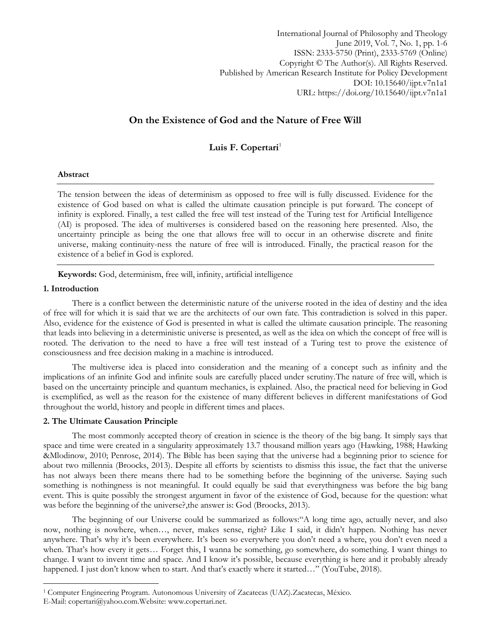International Journal of Philosophy and Theology June 2019, Vol. 7, No. 1, pp. 1-6 ISSN: 2333-5750 (Print), 2333-5769 (Online) Copyright © The Author(s). All Rights Reserved. Published by American Research Institute for Policy Development DOI: 10.15640/ijpt.v7n1a1 URL: https://doi.org/10.15640/ijpt.v7n1a1

# **On the Existence of God and the Nature of Free Will**

# Luis F. Copertari<sup>1</sup>

# **Abstract**

The tension between the ideas of determinism as opposed to free will is fully discussed. Evidence for the existence of God based on what is called the ultimate causation principle is put forward. The concept of infinity is explored. Finally, a test called the free will test instead of the Turing test for Artificial Intelligence (AI) is proposed. The idea of multiverses is considered based on the reasoning here presented. Also, the uncertainty principle as being the one that allows free will to occur in an otherwise discrete and finite universe, making continuity-ness the nature of free will is introduced. Finally, the practical reason for the existence of a belief in God is explored.

**Keywords:** God, determinism, free will, infinity, artificial intelligence

### **1. Introduction**

 $\overline{a}$ 

There is a conflict between the deterministic nature of the universe rooted in the idea of destiny and the idea of free will for which it is said that we are the architects of our own fate. This contradiction is solved in this paper. Also, evidence for the existence of God is presented in what is called the ultimate causation principle. The reasoning that leads into believing in a deterministic universe is presented, as well as the idea on which the concept of free will is rooted. The derivation to the need to have a free will test instead of a Turing test to prove the existence of consciousness and free decision making in a machine is introduced.

The multiverse idea is placed into consideration and the meaning of a concept such as infinity and the implications of an infinite God and infinite souls are carefully placed under scrutiny.The nature of free will, which is based on the uncertainty principle and quantum mechanics, is explained. Also, the practical need for believing in God is exemplified, as well as the reason for the existence of many different believes in different manifestations of God throughout the world, history and people in different times and places.

### **2. The Ultimate Causation Principle**

The most commonly accepted theory of creation in science is the theory of the big bang. It simply says that space and time were created in a singularity approximately 13.7 thousand million years ago (Hawking, 1988; Hawking &Mlodinow, 2010; Penrose, 2014). The Bible has been saying that the universe had a beginning prior to science for about two millennia (Broocks, 2013). Despite all efforts by scientists to dismiss this issue, the fact that the universe has not always been there means there had to be something before the beginning of the universe. Saying such something is nothingness is not meaningful. It could equally be said that everythingness was before the big bang event. This is quite possibly the strongest argument in favor of the existence of God, because for the question: what was before the beginning of the universe?,the answer is: God (Broocks, 2013).

The beginning of our Universe could be summarized as follows:"A long time ago, actually never, and also now, nothing is nowhere, when…, never, makes sense, right? Like I said, it didn't happen. Nothing has never anywhere. That's why it's been everywhere. It's been so everywhere you don't need a where, you don't even need a when. That's how every it gets… Forget this, I wanna be something, go somewhere, do something. I want things to change. I want to invent time and space. And I know it's possible, because everything is here and it probably already happened. I just don't know when to start. And that's exactly where it started..." (YouTube, 2018).

<sup>1</sup> Computer Engineering Program. Autonomous University of Zacatecas (UAZ).Zacatecas, México.

E-Mail: [copertari@yahoo.com.W](mailto:copertari@yahoo.com)ebsite[: www.copertari.net.](http://www.copertari.net/)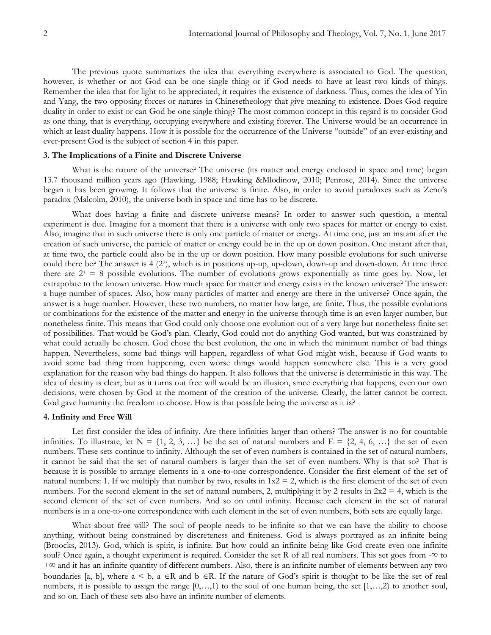The previous quote summarizes the idea that everything everywhere is associated to God. The question, however, is whether or not God can be one single thing or if God needs to have at least two kinds of things. Remember the idea that for light to be appreciated, it requires the existence of darkness. Thus, comes the idea of Yin and Yang, the two opposing forces or natures in Chinesetheology that give meaning to existence. Does God require duality in order to exist or can God be one single thing? The most common concept in this regard is to consider God as one thing, that is everything, occupying everywhere and existing forever. The Universe would be an occurrence in which at least duality happens. How it is possible for the occurrence of the Universe "outside" of an ever-existing and ever-present God is the subject of section 4 in this paper.

# **3. The Implications of a Finite and Discrete Universe**

What is the nature of the universe? The universe (its matter and energy enclosed in space and time) began 13.7 thousand million years ago (Hawking, 1988; Hawking &Mlodinow, 2010; Penrose, 2014). Since the universe began it has been growing. It follows that the universe is finite. Also, in order to avoid paradoxes such as Zeno's paradox (Malcolm, 2010), the universe both in space and time has to be discrete.

What does having a finite and discrete universe means? In order to answer such question, a mental experiment is due. Imagine for a moment that there is a universe with only two spaces for matter or energy to exist. Also, imagine that in such universe there is only one particle of matter or energy. At time one, just an instant after the creation of such universe, the particle of matter or energy could be in the up or down position. One instant after that, at time two, the particle could also be in the up or down position. How many possible evolutions for such universe could there be? The answer is 4 (2<sup>2</sup> ), which is in positions up-up, up-down, down-up and down-down. At time three there are  $2<sup>3</sup> = 8$  possible evolutions. The number of evolutions grows exponentially as time goes by. Now, let extrapolate to the known universe. How much space for matter and energy exists in the known universe? The answer: a huge number of spaces. Also, how many particles of matter and energy are there in the universe? Once again, the answer is a huge number. However, these two numbers, no matter how large, are finite. Thus, the possible evolutions or combinations for the existence of the matter and energy in the universe through time is an even larger number, but nonetheless finite. This means that God could only choose one evolution out of a very large but nonetheless finite set of possibilities. That would be God's plan. Clearly, God could not do anything God wanted, but was constrained by what could actually be chosen. God chose the best evolution, the one in which the minimum number of bad things happen. Nevertheless, some bad things will happen, regardless of what God might wish, because if God wants to avoid some bad thing from happening, even worse things would happen somewhere else. This is a very good explanation for the reason why bad things do happen. It also follows that the universe is deterministic in this way. The idea of destiny is clear, but as it turns out free will would be an illusion, since everything that happens, even our own decisions, were chosen by God at the moment of the creation of the universe. Clearly, the latter cannot be correct. God gave humanity the freedom to choose. How is that possible being the universe as it is?

#### **4. Infinity and Free Will**

Let first consider the idea of infinity. Are there infinities larger than others? The answer is no for countable infinities. To illustrate, let  $N = \{1, 2, 3, ...\}$  be the set of natural numbers and  $E = \{2, 4, 6, ...\}$  the set of even numbers. These sets continue to infinity. Although the set of even numbers is contained in the set of natural numbers, it cannot be said that the set of natural numbers is larger than the set of even numbers. Why is that so? That is because it is possible to arrange elements in a one-to-one correspondence. Consider the first element of the set of natural numbers: 1. If we multiply that number by two, results in  $1x^2 = 2$ , which is the first element of the set of even numbers. For the second element in the set of natural numbers, 2, multiplying it by 2 results in  $2x^2 = 4$ , which is the second element of the set of even numbers. And so on until infinity. Because each element in the set of natural numbers is in a one-to-one correspondence with each element in the set of even numbers, both sets are equally large.

What about free will? The soul of people needs to be infinite so that we can have the ability to choose anything, without being constrained by discreteness and finiteness. God is always portrayed as an infinite being (Broocks, 2013). God, which is spirit, is infinite. But how could an infinite being like God create even one infinite soul? Once again, a thought experiment is required. Consider the set R of all real numbers. This set goes from -∞ to +∞ and it has an infinite quantity of different numbers. Also, there is an infinite number of elements between any two boundaries [a, b], where  $a \le b$ ,  $a \in \mathbb{R}$  and  $b \in \mathbb{R}$ . If the nature of God's spirit is thought to be like the set of real numbers, it is possible to assign the range  $[0, \ldots, 1)$  to the soul of one human being, the set  $[1, \ldots, 2)$  to another soul, and so on. Each of these sets also have an infinite number of elements.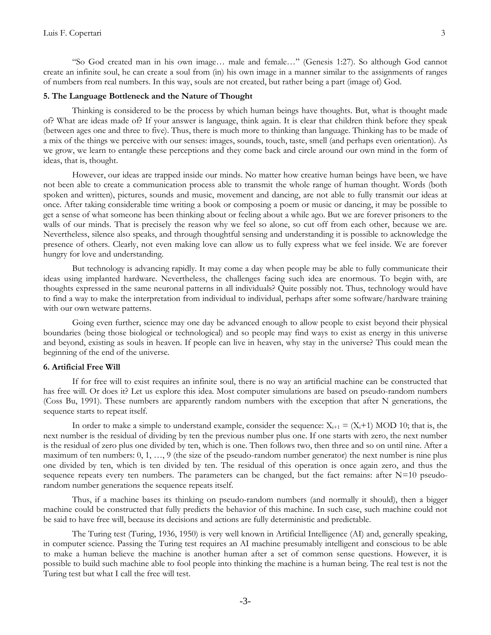"So God created man in his own image… male and female…" (Genesis 1:27). So although God cannot create an infinite soul, he can create a soul from (in) his own image in a manner similar to the assignments of ranges of numbers from real numbers. In this way, souls are not created, but rather being a part (image of) God.

# **5. The Language Bottleneck and the Nature of Thought**

Thinking is considered to be the process by which human beings have thoughts. But, what is thought made of? What are ideas made of? If your answer is language, think again. It is clear that children think before they speak (between ages one and three to five). Thus, there is much more to thinking than language. Thinking has to be made of a mix of the things we perceive with our senses: images, sounds, touch, taste, smell (and perhaps even orientation). As we grow, we learn to entangle these perceptions and they come back and circle around our own mind in the form of ideas, that is, thought.

However, our ideas are trapped inside our minds. No matter how creative human beings have been, we have not been able to create a communication process able to transmit the whole range of human thought. Words (both spoken and written), pictures, sounds and music, movement and dancing, are not able to fully transmit our ideas at once. After taking considerable time writing a book or composing a poem or music or dancing, it may be possible to get a sense of what someone has been thinking about or feeling about a while ago. But we are forever prisoners to the walls of our minds. That is precisely the reason why we feel so alone, so cut off from each other, because we are. Nevertheless, silence also speaks, and through thoughtful sensing and understanding it is possible to acknowledge the presence of others. Clearly, not even making love can allow us to fully express what we feel inside. We are forever hungry for love and understanding.

But technology is advancing rapidly. It may come a day when people may be able to fully communicate their ideas using implanted hardware. Nevertheless, the challenges facing such idea are enormous. To begin with, are thoughts expressed in the same neuronal patterns in all individuals? Quite possibly not. Thus, technology would have to find a way to make the interpretation from individual to individual, perhaps after some software/hardware training with our own wetware patterns.

Going even further, science may one day be advanced enough to allow people to exist beyond their physical boundaries (being those biological or technological) and so people may find ways to exist as energy in this universe and beyond, existing as souls in heaven. If people can live in heaven, why stay in the universe? This could mean the beginning of the end of the universe.

# **6. Artificial Free Will**

If for free will to exist requires an infinite soul, there is no way an artificial machine can be constructed that has free will. Or does it? Let us explore this idea. Most computer simulations are based on pseudo-random numbers (Coss Bu, 1991). These numbers are apparently random numbers with the exception that after N generations, the sequence starts to repeat itself.

In order to make a simple to understand example, consider the sequence:  $X_{i+1} = (X_i+1)$  MOD 10; that is, the next number is the residual of dividing by ten the previous number plus one. If one starts with zero, the next number is the residual of zero plus one divided by ten, which is one. Then follows two, then three and so on until nine. After a maximum of ten numbers: 0, 1, …, 9 (the size of the pseudo-random number generator) the next number is nine plus one divided by ten, which is ten divided by ten. The residual of this operation is once again zero, and thus the sequence repeats every ten numbers. The parameters can be changed, but the fact remains: after  $N=10$  pseudorandom number generations the sequence repeats itself.

Thus, if a machine bases its thinking on pseudo-random numbers (and normally it should), then a bigger machine could be constructed that fully predicts the behavior of this machine. In such case, such machine could not be said to have free will, because its decisions and actions are fully deterministic and predictable.

The Turing test (Turing, 1936, 1950) is very well known in Artificial Intelligence (AI) and, generally speaking, in computer science. Passing the Turing test requires an AI machine presumably intelligent and conscious to be able to make a human believe the machine is another human after a set of common sense questions. However, it is possible to build such machine able to fool people into thinking the machine is a human being. The real test is not the Turing test but what I call the free will test.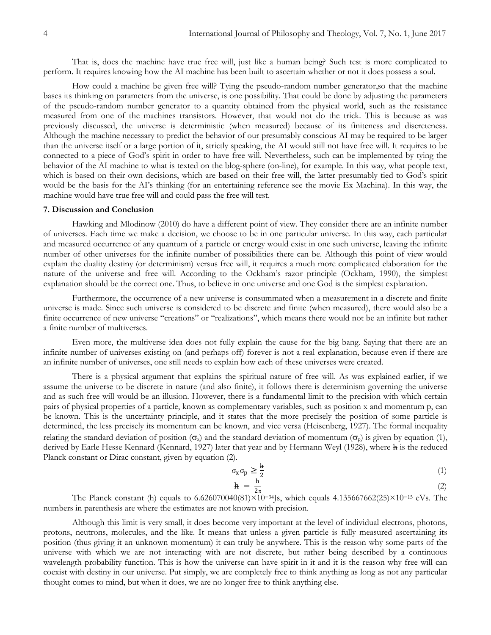That is, does the machine have true free will, just like a human being? Such test is more complicated to perform. It requires knowing how the AI machine has been built to ascertain whether or not it does possess a soul.

How could a machine be given free will? Tying the pseudo-random number generator,so that the machine bases its thinking on parameters from the universe, is one possibility. That could be done by adjusting the parameters of the pseudo-random number generator to a quantity obtained from the physical world, such as the resistance measured from one of the machines transistors. However, that would not do the trick. This is because as was previously discussed, the universe is deterministic (when measured) because of its finiteness and discreteness. Although the machine necessary to predict the behavior of our presumably conscious AI may be required to be larger than the universe itself or a large portion of it, strictly speaking, the AI would still not have free will. It requires to be connected to a piece of God's spirit in order to have free will. Nevertheless, such can be implemented by tying the behavior of the AI machine to what is texted on the blog-sphere (on-line), for example. In this way, what people text, which is based on their own decisions, which are based on their free will, the latter presumably tied to God's spirit would be the basis for the AI's thinking (for an entertaining reference see the movie Ex Machina). In this way, the machine would have true free will and could pass the free will test.

#### **7. Discussion and Conclusion**

Hawking and Mlodinow (2010) do have a different point of view. They consider there are an infinite number of universes. Each time we make a decision, we choose to be in one particular universe. In this way, each particular and measured occurrence of any quantum of a particle or energy would exist in one such universe, leaving the infinite number of other universes for the infinite number of possibilities there can be. Although this point of view would explain the duality destiny (or determinism) versus free will, it requires a much more complicated elaboration for the nature of the universe and free will. According to the Ockham's razor principle (Ockham, 1990), the simplest explanation should be the correct one. Thus, to believe in one universe and one God is the simplest explanation.

Furthermore, the occurrence of a new universe is consummated when a measurement in a discrete and finite universe is made. Since such universe is considered to be discrete and finite (when measured), there would also be a finite occurrence of new universe "creations" or "realizations", which means there would not be an infinite but rather a finite number of multiverses.

Even more, the multiverse idea does not fully explain the cause for the big bang. Saying that there are an infinite number of universes existing on (and perhaps off) forever is not a real explanation, because even if there are an infinite number of universes, one still needs to explain how each of these universes were created.

There is a physical argument that explains the spiritual nature of free will. As was explained earlier, if we assume the universe to be discrete in nature (and also finite), it follows there is determinism governing the universe and as such free will would be an illusion. However, there is a fundamental limit to the precision with which certain pairs of physical properties of a particle, known as complementary variables, such as position x and momentum p, can be known. This is the uncertainty principle, and it states that the more precisely the position of some particle is determined, the less precisely its momentum can be known, and vice versa (Heisenberg, 1927). The formal inequality relating the standard deviation of position  $(\sigma_x)$  and the standard deviation of momentum  $(\sigma_y)$  is given by equation (1), derived by Earle Hesse Kennard (Kennard, 1927) later that year and by Hermann Weyl (1928), where h is the reduced Planck constant or Dirac constant, given by equation (2).

$$
\sigma_x \sigma_p \ge \frac{h}{2}
$$
\n
$$
h = \frac{h}{2}
$$
\n(1)

$$
(2)
$$

 $2\pi$ The Planck constant (h) equals to 6.626070040(81)×10−34Js, which equals 4.135667662(25)×10−<sup>15</sup> eVs. The numbers in parenthesis are where the estimates are not known with precision.

Although this limit is very small, it does become very important at the level of individual electrons, photons, protons, neutrons, molecules, and the like. It means that unless a given particle is fully measured ascertaining its position (thus giving it an unknown momentum) it can truly be anywhere. This is the reason why some parts of the universe with which we are not interacting with are not discrete, but rather being described by a continuous wavelength probability function. This is how the universe can have spirit in it and it is the reason why free will can coexist with destiny in our universe. Put simply, we are completely free to think anything as long as not any particular thought comes to mind, but when it does, we are no longer free to think anything else.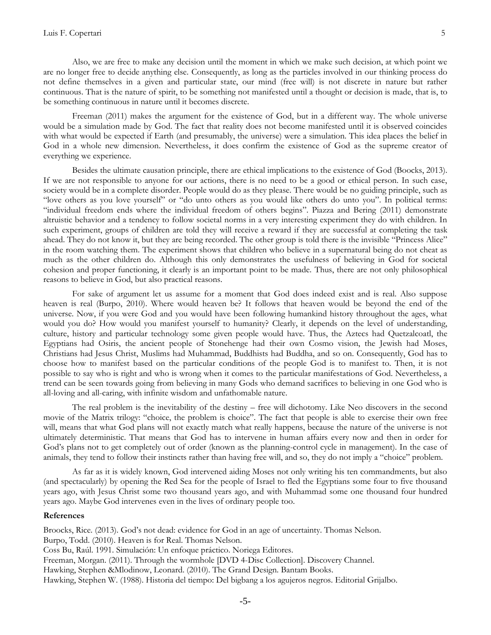Also, we are free to make any decision until the moment in which we make such decision, at which point we are no longer free to decide anything else. Consequently, as long as the particles involved in our thinking process do not define themselves in a given and particular state, our mind (free will) is not discrete in nature but rather continuous. That is the nature of spirit, to be something not manifested until a thought or decision is made, that is, to be something continuous in nature until it becomes discrete.

Freeman (2011) makes the argument for the existence of God, but in a different way. The whole universe would be a simulation made by God. The fact that reality does not become manifested until it is observed coincides with what would be expected if Earth (and presumably, the universe) were a simulation. This idea places the belief in God in a whole new dimension. Nevertheless, it does confirm the existence of God as the supreme creator of everything we experience.

Besides the ultimate causation principle, there are ethical implications to the existence of God (Boocks, 2013). If we are not responsible to anyone for our actions, there is no need to be a good or ethical person. In such case, society would be in a complete disorder. People would do as they please. There would be no guiding principle, such as "love others as you love yourself" or "do unto others as you would like others do unto you". In political terms: "individual freedom ends where the individual freedom of others begins". Piazza and Bering (2011) demonstrate altruistic behavior and a tendency to follow societal norms in a very interesting experiment they do with children. In such experiment, groups of children are told they will receive a reward if they are successful at completing the task ahead. They do not know it, but they are being recorded. The other group is told there is the invisible "Princess Alice" in the room watching them. The experiment shows that children who believe in a supernatural being do not cheat as much as the other children do. Although this only demonstrates the usefulness of believing in God for societal cohesion and proper functioning, it clearly is an important point to be made. Thus, there are not only philosophical reasons to believe in God, but also practical reasons.

For sake of argument let us assume for a moment that God does indeed exist and is real. Also suppose heaven is real (Burpo, 2010). Where would heaven be? It follows that heaven would be beyond the end of the universe. Now, if you were God and you would have been following humankind history throughout the ages, what would you do? How would you manifest yourself to humanity? Clearly, it depends on the level of understanding, culture, history and particular technology some given people would have. Thus, the Aztecs had Quetzalcoatl, the Egyptians had Osiris, the ancient people of Stonehenge had their own Cosmo vision, the Jewish had Moses, Christians had Jesus Christ, Muslims had Muhammad, Buddhists had Buddha, and so on. Consequently, God has to choose how to manifest based on the particular conditions of the people God is to manifest to. Then, it is not possible to say who is right and who is wrong when it comes to the particular manifestations of God. Nevertheless, a trend can be seen towards going from believing in many Gods who demand sacrifices to believing in one God who is all-loving and all-caring, with infinite wisdom and unfathomable nature.

The real problem is the inevitability of the destiny – free will dichotomy. Like Neo discovers in the second movie of the Matrix trilogy: "choice, the problem is choice". The fact that people is able to exercise their own free will, means that what God plans will not exactly match what really happens, because the nature of the universe is not ultimately deterministic. That means that God has to intervene in human affairs every now and then in order for God's plans not to get completely out of order (known as the planning-control cycle in management). In the case of animals, they tend to follow their instincts rather than having free will, and so, they do not imply a "choice" problem.

As far as it is widely known, God intervened aiding Moses not only writing his ten commandments, but also (and spectacularly) by opening the Red Sea for the people of Israel to fled the Egyptians some four to five thousand years ago, with Jesus Christ some two thousand years ago, and with Muhammad some one thousand four hundred years ago. Maybe God intervenes even in the lives of ordinary people too.

# **References**

Broocks, Rice. (2013). God's not dead: evidence for God in an age of uncertainty. Thomas Nelson. Burpo, Todd. (2010). Heaven is for Real. Thomas Nelson. Coss Bu, Raúl. 1991. Simulación: Un enfoque práctico. Noriega Editores. Freeman, Morgan. (2011). Through the wormhole [DVD 4-Disc Collection]. Discovery Channel. Hawking, Stephen &Mlodinow, Leonard. (2010). The Grand Design. Bantam Books. Hawking, Stephen W. (1988). Historia del tiempo: Del bigbang a los agujeros negros. Editorial Grijalbo.